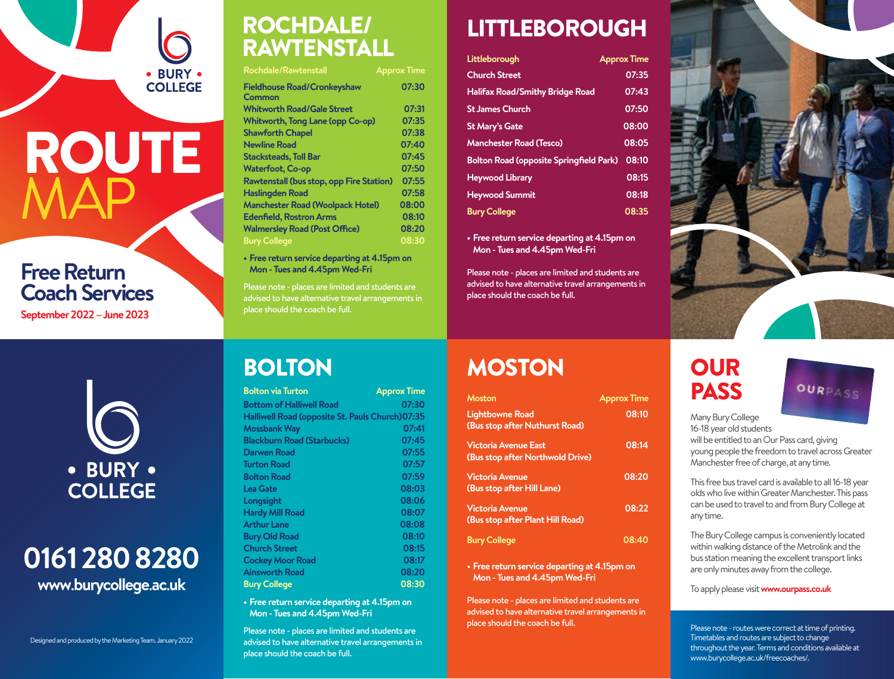# **ROUTE MAP**

· BURY ·<br>COLLEGE

#### **Free Return Coach Services**

**September 2022 – June 2023**

#### ROCHDALE/ RAWTENSTALL

| <b>Rochdale/Rawtenstall</b>                  | <b>Approx Time</b> |
|----------------------------------------------|--------------------|
| <b>Fieldhouse Road/Cronkeyshaw</b><br>Common | 07:30              |
| <b>Whitworth Road/Gale Street</b>            | 07:31              |
| <b>Whitworth, Tong Lane (opp Co-op)</b>      | 07:35              |
| <b>Shawforth Chapel</b>                      | 07:38              |
| <b>Newline Road</b>                          | 07:40              |
| <b>Stacksteads, Toll Bar</b>                 | 07:45              |
| <b>Waterfoot, Co-op</b>                      | 07:50              |
| Rawtenstall (bus stop, opp Fire Station)     | 07:55              |
| <b>Haslingden Road</b>                       | 07:58              |
| <b>Manchester Road (Woolpack Hotel)</b>      | 08:00              |
| <b>Edenfield, Rostron Arms</b>               | 08:10              |
| <b>Walmersley Road (Post Office)</b>         | 08:20              |
| <b>Bury College</b>                          | 08:30              |
|                                              |                    |

**• Free return service departing at 4.15pm on Mon - Tues and 4.45pm Wed-Fri**

Please note - places are limited and students are advised to have alternative travel arrangements in place should the coach be full.

### LITTLEBOROUGH

| Littleborough                                  | <b>Approx Time</b> |
|------------------------------------------------|--------------------|
| <b>Church Street</b>                           | 07:35              |
| <b>Halifax Road/Smithy Bridge Road</b>         | 07:43              |
| <b>St James Church</b>                         | 07:50              |
| <b>St Mary's Gate</b>                          | 08:00              |
| <b>Manchester Road (Tesco)</b>                 | 08:05              |
| <b>Bolton Road (opposite Springfield Park)</b> | 08:10              |
| <b>Heywood Library</b>                         | 08:15              |
| <b>Heywood Summit</b>                          | 08:18              |
| <b>Bury College</b>                            | 08:35              |

**• Free return service departing at 4.15pm on Mon - Tues and 4.45pm Wed-Fri**

Please note - places are limited and students are advised to have alternative travel arrangements in place should the coach be full.



• BURY • **COLLEGE** 

#### **0161 280 8280 www**.**burycollege**.**ac**.**uk**

Designed and produced by the Marketing Team. January 2022

#### **BOLTON**

| <b>Bolton via Turton</b>                        | <b>Approx Time</b> |
|-------------------------------------------------|--------------------|
| <b>Bottom of Halliwell Road</b>                 | 07:30              |
| Halliwell Road (opposite St. Pauls Church)07:35 |                    |
| <b>Mossbank Way</b>                             | 07:41              |
| <b>Blackburn Road (Starbucks)</b>               | 07:45              |
| Darwen Road                                     | 07:55              |
| <b>Turton Road</b>                              | 07:57              |
| <b>Bolton Road</b>                              | 07:59              |
| <b>Lea Gate</b>                                 | 08:03              |
| Longsight                                       | 08:06              |
| <b>Hardy Mill Road</b>                          | 08:07              |
| <b>Arthur Lane</b>                              | 08:08              |
| <b>Bury Old Road</b>                            | 08:10              |
| <b>Church Street</b>                            | 08:15              |
| <b>Cockey Moor Road</b>                         | 08:17              |
| <b>Ainsworth Road</b>                           | 08:20              |
| <b>Bury College</b>                             | 08:30              |

**• Free return service departing at 4.15pm on Mon - Tues and 4.45pm Wed-Fri**

Please note - places are limited and students are advised to have alternative travel arrangements in place should the coach be full.

## MOSTON OUR

| <b>Moston</b>                    | <b>Approx Time</b> |
|----------------------------------|--------------------|
| <b>Lightbowne Road</b>           | 08:10              |
| (Bus stop after Nuthurst Road)   |                    |
| Victoria Avenue East             | 08:14              |
| (Bus stop after Northwold Drive) |                    |
| <b>Victoria Avenue</b>           | 08:20              |
| (Bus stop after Hill Lane)       |                    |
| <b>Victoria Avenue</b>           | 08:22              |
| (Bus stop after Plant Hill Road) |                    |
| <b>Bury College</b>              | 08:40              |

**• Free return service departing at 4.15pm on Mon - Tues and 4.45pm Wed-Fri**

Please note - places are limited and students are advised to have alternative travel arrangements in place should the coach be full.

# PASS



Many Bury College

16-18 year old students

will be entitled to an Our Pass card, giving young people the freedom to travel across Greater Manchester free of charge, at any time.

This free bus travel card is available to all 16-18 year olds who live within Greater Manchester. This pass can be used to travel to and from Bury College at any time.

The Bury College campus is conveniently located within walking distance of the Metrolink and the bus station meaning the excellent transport links are only minutes away from the college.

To apply please visit **www.ourpass.co.uk**

Please note - routes were correct at time of printing. Timetables and routes are subject to change throughout the year. Terms and conditions available at www.burycollege.ac.uk/freecoaches/.